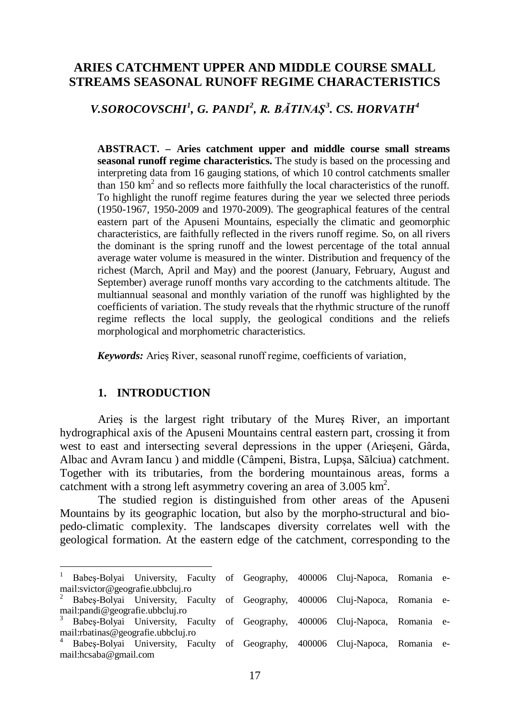# **ARIES CATCHMENT UPPER AND MIDDLE COURSE SMALL STREAMS SEASONAL RUNOFF REGIME CHARACTERISTICS**

## *V.SOROCOVSCHI[1](#page-0-0) , G. PANDI[2](#page-0-1) , R. BĂTINAŞ[3](#page-0-2) . CS. HORVATH[4](#page-0-3)*

**ABSTRACT. – Aries catchment upper and middle course small streams seasonal runoff regime characteristics.** The study is based on the processing and interpreting data from 16 gauging stations, of which 10 control catchments smaller than 150 km<sup>2</sup> and so reflects more faithfully the local characteristics of the runoff. To highlight the runoff regime features during the year we selected three periods (1950-1967, 1950-2009 and 1970-2009). The geographical features of the central eastern part of the Apuseni Mountains, especially the climatic and geomorphic characteristics, are faithfully reflected in the rivers runoff regime. So, on all rivers the dominant is the spring runoff and the lowest percentage of the total annual average water volume is measured in the winter. Distribution and frequency of the richest (March, April and May) and the poorest (January, February, August and September) average runoff months vary according to the catchments altitude. The multiannual seasonal and monthly variation of the runoff was highlighted by the coefficients of variation. The study reveals that the rhythmic structure of the runoff regime reflects the local supply, the geological conditions and the reliefs morphological and morphometric characteristics.

*Keywords:* Arieş River, seasonal runoff regime, coefficients of variation,

## **1. INTRODUCTION**

1

Arieş is the largest right tributary of the Mureş River, an important hydrographical axis of the Apuseni Mountains central eastern part, crossing it from west to east and intersecting several depressions in the upper (Arieşeni, Gârda, Albac and Avram Iancu ) and middle (Câmpeni, Bistra, Lupşa, Sălciua) catchment. Together with its tributaries, from the bordering mountainous areas, forms a catchment with a strong left asymmetry covering an area of  $3.005 \text{ km}^2$ .

The studied region is distinguished from other areas of the Apuseni Mountains by its geographic location, but also by the morpho-structural and biopedo-climatic complexity. The landscapes diversity correlates well with the geological formation. At the eastern edge of the catchment, corresponding to the

<span id="page-0-0"></span><sup>&</sup>lt;sup>1</sup> Babeş-Bolyai University, Faculty of Geography, 400006 Cluj-Napoca, Romania e-mail:svictor@geografie.ubbcluj.ro

<span id="page-0-1"></span><sup>&</sup>lt;sup>2</sup> Babeş-Bolyai University, Faculty of Geography, 400006 Cluj-Napoca, Romania e-mail: pandi@geografie.ubbcluj.ro

<span id="page-0-2"></span>Babes-Bolyai University, Faculty of Geography, 400006 Cluj-Napoca, Romania email:rbatinas@geografie.ubbcluj.ro<br><sup>4</sup> Babes-Bolyai University, Faculty of Geography, 400006 Cluj-Napoca, Romania e-

<span id="page-0-3"></span>mail:hcsaba@gmail.com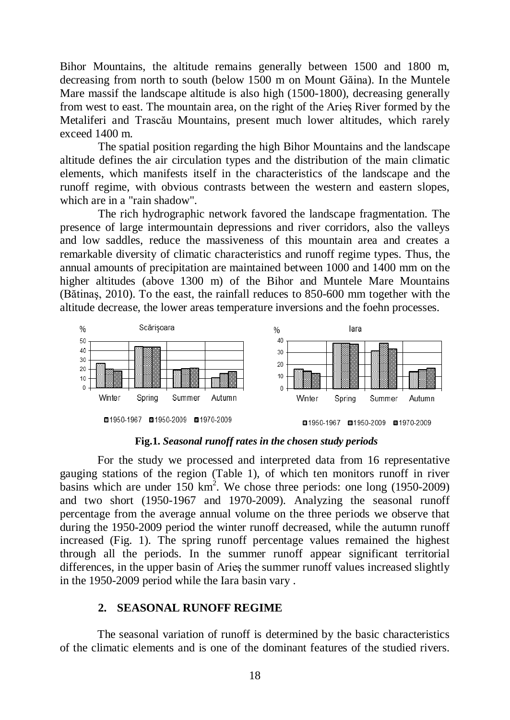Bihor Mountains, the altitude remains generally between 1500 and 1800 m, decreasing from north to south (below 1500 m on Mount Găina). In the Muntele Mare massif the landscape altitude is also high (1500-1800), decreasing generally from west to east. The mountain area, on the right of the Arieş River formed by the Metaliferi and Trascău Mountains, present much lower altitudes, which rarely exceed 1400 m.

The spatial position regarding the high Bihor Mountains and the landscape altitude defines the air circulation types and the distribution of the main climatic elements, which manifests itself in the characteristics of the landscape and the runoff regime, with obvious contrasts between the western and eastern slopes, which are in a "rain shadow".

The rich hydrographic network favored the landscape fragmentation. The presence of large intermountain depressions and river corridors, also the valleys and low saddles, reduce the massiveness of this mountain area and creates a remarkable diversity of climatic characteristics and runoff regime types. Thus, the annual amounts of precipitation are maintained between 1000 and 1400 mm on the higher altitudes (above 1300 m) of the Bihor and Muntele Mare Mountains (Bătinaş, 2010). To the east, the rainfall reduces to 850-600 mm together with the altitude decrease, the lower areas temperature inversions and the foehn processes.



**Fig.1.** *Seasonal runoff rates in the chosen study periods*

For the study we processed and interpreted data from 16 representative gauging stations of the region (Table 1), of which ten monitors runoff in river basins which are under  $150 \text{ km}^2$ . We chose three periods: one long (1950-2009) and two short (1950-1967 and 1970-2009). Analyzing the seasonal runoff percentage from the average annual volume on the three periods we observe that during the 1950-2009 period the winter runoff decreased, while the autumn runoff increased (Fig. 1). The spring runoff percentage values remained the highest through all the periods. In the summer runoff appear significant territorial differences, in the upper basin of Arieş the summer runoff values increased slightly in the 1950-2009 period while the Iara basin vary .

## **2. SEASONAL RUNOFF REGIME**

The seasonal variation of runoff is determined by the basic characteristics of the climatic elements and is one of the dominant features of the studied rivers.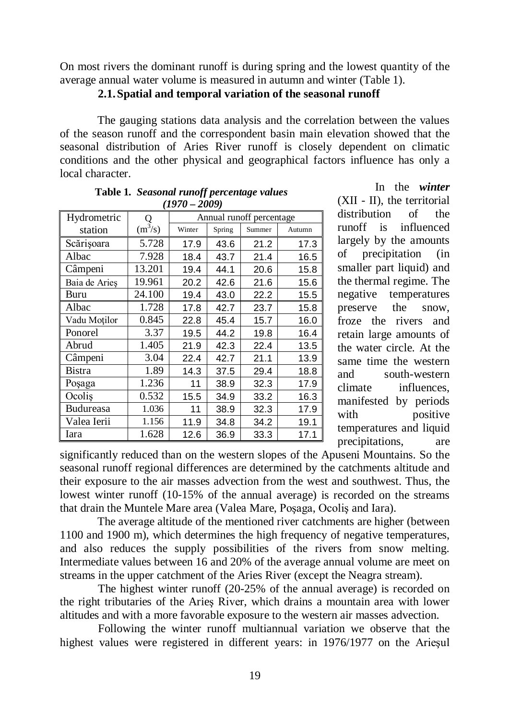On most rivers the dominant runoff is during spring and the lowest quantity of the average annual water volume is measured in autumn and winter (Table 1).

**2.1.Spatial and temporal variation of the seasonal runoff**

The gauging stations data analysis and the correlation between the values of the season runoff and the correspondent basin main elevation showed that the seasonal distribution of Aries River runoff is closely dependent on climatic conditions and the other physical and geographical factors influence has only a local character.

| $(1970 - 2009)$ |           |                          |        |        |        |  |  |
|-----------------|-----------|--------------------------|--------|--------|--------|--|--|
| Hydrometric     |           | Annual runoff percentage |        |        |        |  |  |
| station         | $(m^3/s)$ | Winter                   | Spring | Summer | Autumn |  |  |
| Scărișoara      | 5.728     | 17.9                     | 43.6   | 21.2   | 17.3   |  |  |
| Albac           | 7.928     | 18.4                     | 43.7   | 21.4   | 16.5   |  |  |
| Câmpeni         | 13.201    | 19.4                     | 44.1   | 20.6   | 15.8   |  |  |
| Baia de Aries   | 19.961    | 20.2                     | 42.6   | 21.6   | 15.6   |  |  |
| Buru            | 24.100    | 19.4                     | 43.0   | 22.2   | 15.5   |  |  |
| Albac           | 1.728     | 17.8                     | 42.7   | 23.7   | 15.8   |  |  |
| Vadu Moților    | 0.845     | 22.8                     | 45.4   | 15.7   | 16.0   |  |  |
| Ponorel         | 3.37      | 19.5                     | 44.2   | 19.8   | 16.4   |  |  |
| Abrud           | 1.405     | 21.9                     | 42.3   | 22.4   | 13.5   |  |  |
| Câmpeni         | 3.04      | 22.4                     | 42.7   | 21.1   | 13.9   |  |  |
| Bistra          | 1.89      | 14.3                     | 37.5   | 29.4   | 18.8   |  |  |
| Posaga          | 1.236     | 11                       | 38.9   | 32.3   | 17.9   |  |  |
| Ocolis          | 0.532     | 15.5                     | 34.9   | 33.2   | 16.3   |  |  |
| Budureasa       | 1.036     | 11                       | 38.9   | 32.3   | 17.9   |  |  |
| Valea Ierii     | 1.156     | 11.9                     | 34.8   | 34.2   | 19.1   |  |  |
| Iara            | 1.628     | 12.6                     | 36.9   | 33.3   | 17.1   |  |  |

|                 | Table 1. Seasonal runoff percentage values |  |  |  |  |
|-----------------|--------------------------------------------|--|--|--|--|
| $(1970 - 2009)$ |                                            |  |  |  |  |

In the *winter* (XII - II), the territorial distribution of the runoff is influenced largely by the amounts of precipitation (in smaller part liquid) and the thermal regime. The negative temperatures preserve the snow, froze the rivers and retain large amounts of the water circle. At the same time the western and south-western climate influences, manifested by periods with positive temperatures and liquid precipitations, are

significantly reduced than on the western slopes of the Apuseni Mountains. So the seasonal runoff regional differences are determined by the catchments altitude and their exposure to the air masses advection from the west and southwest. Thus, the lowest winter runoff (10-15% of the annual average) is recorded on the streams that drain the Muntele Mare area (Valea Mare, Poşaga, Ocoliş and Iara).

The average altitude of the mentioned river catchments are higher (between 1100 and 1900 m), which determines the high frequency of negative temperatures, and also reduces the supply possibilities of the rivers from snow melting. Intermediate values between 16 and 20% of the average annual volume are meet on streams in the upper catchment of the Aries River (except the Neagra stream).

The highest winter runoff (20-25% of the annual average) is recorded on the right tributaries of the Arieş River, which drains a mountain area with lower altitudes and with a more favorable exposure to the western air masses advection.

Following the winter runoff multiannual variation we observe that the highest values were registered in different years: in 1976/1977 on the Arieşul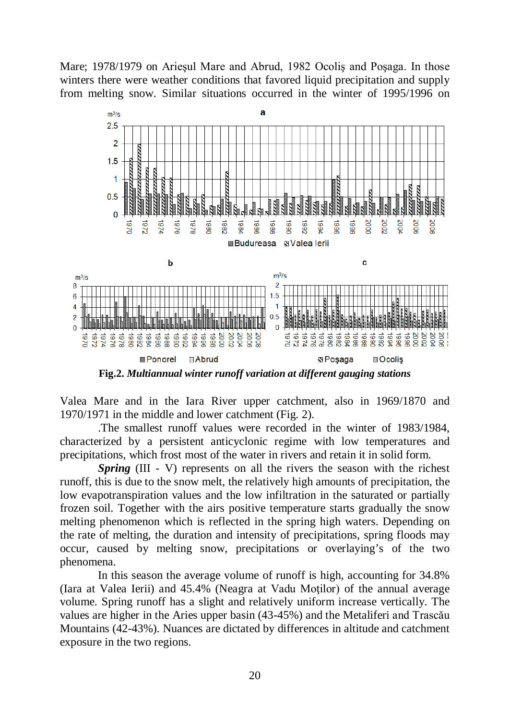



**Fig.2.** *Multiannual winter runoff variation at different gauging stations* 

Valea Mare and in the Iara River upper catchment, also in 1969/1870 and 1970/1971 in the middle and lower catchment (Fig. 2).

.The smallest runoff values were recorded in the winter of 1983/1984, characterized by a persistent anticyclonic regime with low temperatures and precipitations, which frost most of the water in rivers and retain it in solid form.

*Spring* (III - V) represents on all the rivers the season with the richest runoff, this is due to the snow melt, the relatively high amounts of precipitation, the low evapotranspiration values and the low infiltration in the saturated or partially frozen soil. Together with the airs positive temperature starts gradually the snow melting phenomenon which is reflected in the spring high waters. Depending on the rate of melting, the duration and intensity of precipitations, spring floods may occur, caused by melting snow, precipitations or overlaying's of the two phenomena.

In this season the average volume of runoff is high, accounting for 34.8% (Iara at Valea Ierii) and 45.4% (Neagra at Vadu Motilor) of the annual average volume. Spring runoff has a slight and relatively uniform increase vertically. The values are higher in the Aries upper basin (43-45%) and the Metaliferi and Trascău Mountains (42-43%). Nuances are dictated by differences in altitude and catchment exposure in the two regions.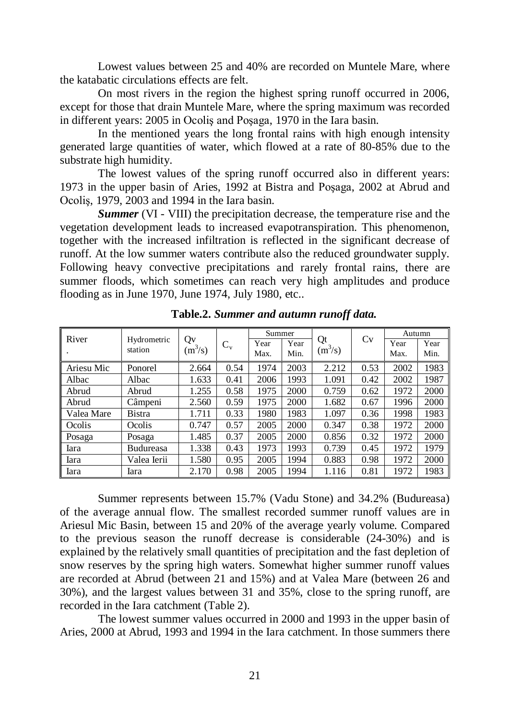Lowest values between 25 and 40% are recorded on Muntele Mare, where the katabatic circulations effects are felt.

On most rivers in the region the highest spring runoff occurred in 2006, except for those that drain Muntele Mare, where the spring maximum was recorded in different years: 2005 in Ocoliş and Poşaga, 1970 in the Iara basin.

In the mentioned years the long frontal rains with high enough intensity generated large quantities of water, which flowed at a rate of 80-85% due to the substrate high humidity.

The lowest values of the spring runoff occurred also in different years: 1973 in the upper basin of Aries, 1992 at Bistra and Poşaga, 2002 at Abrud and Ocoliş, 1979, 2003 and 1994 in the Iara basin.

*Summer* (VI - VIII) the precipitation decrease, the temperature rise and the vegetation development leads to increased evapotranspiration. This phenomenon, together with the increased infiltration is reflected in the significant decrease of runoff. At the low summer waters contribute also the reduced groundwater supply. Following heavy convective precipitations and rarely frontal rains, there are summer floods, which sometimes can reach very high amplitudes and produce flooding as in June 1970, June 1974, July 1980, etc..

| River      |                        |                 |         | Summer |      |                 |      | Autumn |      |
|------------|------------------------|-----------------|---------|--------|------|-----------------|------|--------|------|
|            | Hydrometric<br>station | Qv<br>$(m^3/s)$ | $C_{v}$ | Year   | Year | Qt<br>$(m^3/s)$ | Cv   | Year   | Year |
|            |                        |                 |         | Max.   | Min. |                 |      | Max.   | Min. |
| Ariesu Mic | Ponorel                | 2.664           | 0.54    | 1974   | 2003 | 2.212           | 0.53 | 2002   | 1983 |
| Albac      | Albac                  | 1.633           | 0.41    | 2006   | 1993 | 1.091           | 0.42 | 2002   | 1987 |
| Abrud      | Abrud                  | 1.255           | 0.58    | 1975   | 2000 | 0.759           | 0.62 | 1972   | 2000 |
| Abrud      | Câmpeni                | 2.560           | 0.59    | 1975   | 2000 | 1.682           | 0.67 | 1996   | 2000 |
| Valea Mare | <b>Bistra</b>          | 1.711           | 0.33    | 1980   | 1983 | 1.097           | 0.36 | 1998   | 1983 |
| Ocolis     | Ocolis                 | 0.747           | 0.57    | 2005   | 2000 | 0.347           | 0.38 | 1972   | 2000 |
| Posaga     | Posaga                 | 1.485           | 0.37    | 2005   | 2000 | 0.856           | 0.32 | 1972   | 2000 |
| Iara       | Budureasa              | 1.338           | 0.43    | 1973   | 1993 | 0.739           | 0.45 | 1972   | 1979 |
| Iara       | Valea Ierii            | 1.580           | 0.95    | 2005   | 1994 | 0.883           | 0.98 | 1972   | 2000 |
| Iara       | Iara                   | 2.170           | 0.98    | 2005   | 1994 | 1.116           | 0.81 | 1972   | 1983 |

**Table.2.** *Summer and autumn runoff data.*

Summer represents between 15.7% (Vadu Stone) and 34.2% (Budureasa) of the average annual flow. The smallest recorded summer runoff values are in Ariesul Mic Basin, between 15 and 20% of the average yearly volume. Compared to the previous season the runoff decrease is considerable (24-30%) and is explained by the relatively small quantities of precipitation and the fast depletion of snow reserves by the spring high waters. Somewhat higher summer runoff values are recorded at Abrud (between 21 and 15%) and at Valea Mare (between 26 and 30%), and the largest values between 31 and 35%, close to the spring runoff, are recorded in the Iara catchment (Table 2).

The lowest summer values occurred in 2000 and 1993 in the upper basin of Aries, 2000 at Abrud, 1993 and 1994 in the Iara catchment. In those summers there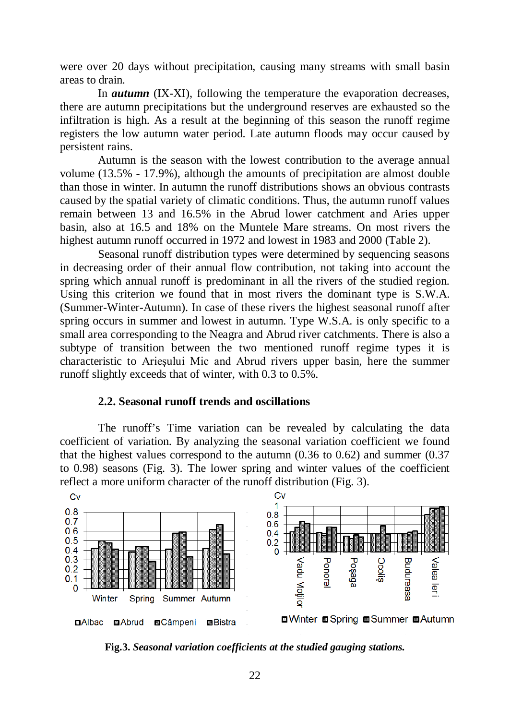were over 20 days without precipitation, causing many streams with small basin areas to drain.

In *autumn* (IX-XI), following the temperature the evaporation decreases, there are autumn precipitations but the underground reserves are exhausted so the infiltration is high. As a result at the beginning of this season the runoff regime registers the low autumn water period. Late autumn floods may occur caused by persistent rains.

Autumn is the season with the lowest contribution to the average annual volume (13.5% - 17.9%), although the amounts of precipitation are almost double than those in winter. In autumn the runoff distributions shows an obvious contrasts caused by the spatial variety of climatic conditions. Thus, the autumn runoff values remain between 13 and 16.5% in the Abrud lower catchment and Aries upper basin, also at 16.5 and 18% on the Muntele Mare streams. On most rivers the highest autumn runoff occurred in 1972 and lowest in 1983 and 2000 (Table 2).

Seasonal runoff distribution types were determined by sequencing seasons in decreasing order of their annual flow contribution, not taking into account the spring which annual runoff is predominant in all the rivers of the studied region. Using this criterion we found that in most rivers the dominant type is S.W.A. (Summer-Winter-Autumn). In case of these rivers the highest seasonal runoff after spring occurs in summer and lowest in autumn. Type W.S.A. is only specific to a small area corresponding to the Neagra and Abrud river catchments. There is also a subtype of transition between the two mentioned runoff regime types it is characteristic to Arieşului Mic and Abrud rivers upper basin, here the summer runoff slightly exceeds that of winter, with 0.3 to 0.5%.

### **2.2. Seasonal runoff trends and oscillations**

The runoff's Time variation can be revealed by calculating the data coefficient of variation. By analyzing the seasonal variation coefficient we found that the highest values correspond to the autumn (0.36 to 0.62) and summer (0.37 to 0.98) seasons (Fig. 3). The lower spring and winter values of the coefficient reflect a more uniform character of the runoff distribution (Fig. 3).



**Fig.3.** *Seasonal variation coefficients at the studied gauging stations.*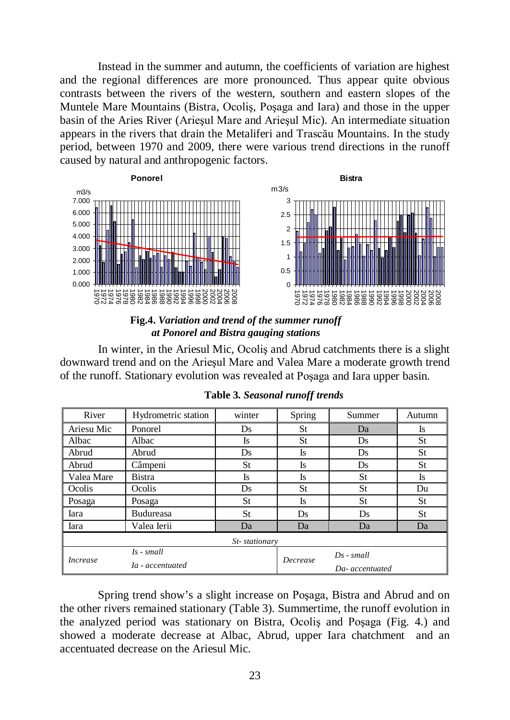Instead in the summer and autumn, the coefficients of variation are highest and the regional differences are more pronounced. Thus appear quite obvious contrasts between the rivers of the western, southern and eastern slopes of the Muntele Mare Mountains (Bistra, Ocoliş, Poşaga and Iara) and those in the upper basin of the Aries River (Arieşul Mare and Arieşul Mic). An intermediate situation appears in the rivers that drain the Metaliferi and Trascău Mountains. In the study period, between 1970 and 2009, there were various trend directions in the runoff caused by natural and anthropogenic factors.





In winter, in the Ariesul Mic, Ocoliş and Abrud catchments there is a slight downward trend and on the Arieşul Mare and Valea Mare a moderate growth trend of the runoff. Stationary evolution was revealed at Poşaga and Iara upper basin.

| River           | Hydrometric station              | winter | Spring    | Summer          | Autumn |  |
|-----------------|----------------------------------|--------|-----------|-----------------|--------|--|
| Ariesu Mic      | Ponorel                          | Ds     | St        | Da              | Is     |  |
| Albac           | Albac                            | Is     | St        | Ds              | St     |  |
| Abrud           | Abrud                            | Ds     | Is        | Ds              | St     |  |
| Abrud           | Câmpeni                          | St     | Is        | Ds              | St     |  |
| Valea Mare      | Bistra                           | Is     | Is        | St              | Is     |  |
| Ocolis          | Ocolis                           | Ds     | St        | St              | Du     |  |
| Posaga          | Posaga                           | St     | Is        | St              | St     |  |
| Iara            | <b>Budureasa</b>                 | St     | <b>Ds</b> | <b>Ds</b>       | St     |  |
| Iara            | Valea Ierii                      | Da     | Da        | Da              | Da     |  |
| St-stationary   |                                  |        |           |                 |        |  |
| <i>Increase</i> | $Is - small$<br>Ia - accentuated |        |           | $Ds$ - small    |        |  |
|                 |                                  |        | Decrease  | Da- accentuated |        |  |

|  | Table 3. Seasonal runoff trends |  |  |
|--|---------------------------------|--|--|
|--|---------------------------------|--|--|

Spring trend show's a slight increase on Poşaga, Bistra and Abrud and on the other rivers remained stationary (Table 3). Summertime, the runoff evolution in the analyzed period was stationary on Bistra, Ocoliş and Poşaga (Fig. 4.) and showed a moderate decrease at Albac, Abrud, upper Iara chatchment and an accentuated decrease on the Ariesul Mic.